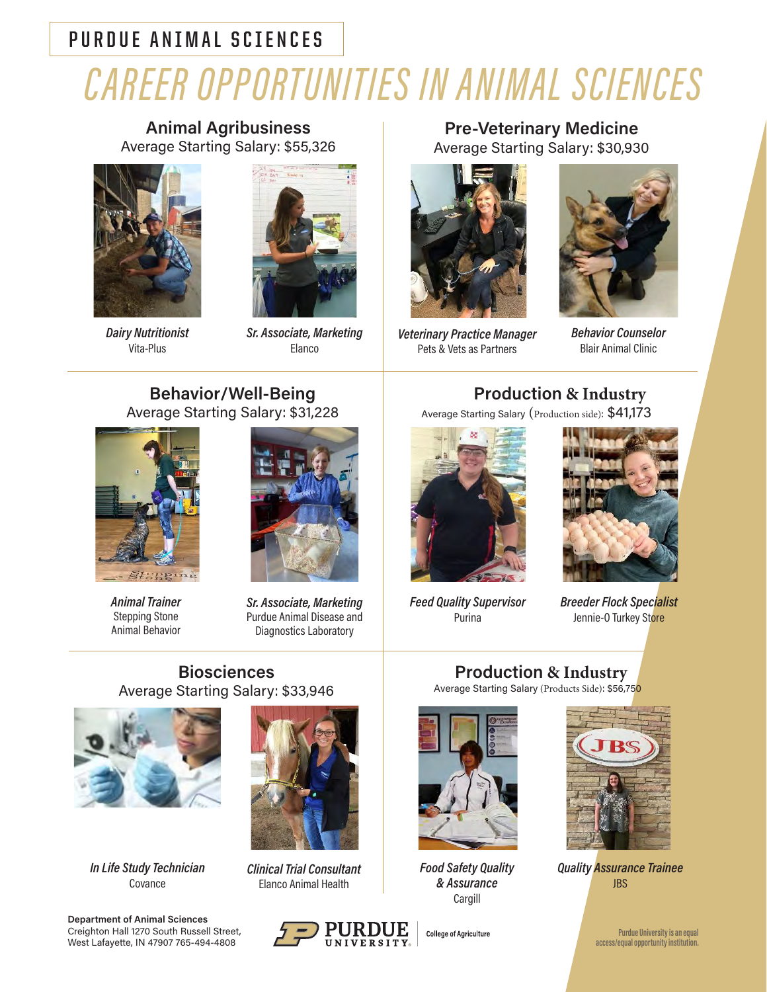### **PURDUE ANIMAL SCIENCES**

# *CAREER OPPORTUNITIES IN ANIMAL SCIENCES*

**Animal Agribusiness** Average Starting Salary: \$55,326



*Dairy Nutritionist*  Vita-Plus



*Sr. Associate, Marketing* Elanco

**Pre-Veterinary Medicine** Average Starting Salary: \$30,930



*Veterinary Practice Manager* Pets & Vets as Partners



*Behavior Counselor* Blair Animal Clinic

#### **Behavior/Well-Being**  Average Starting Salary: \$31,228



*Animal Trainer* Stepping Stone Animal Behavior



*Sr. Associate, Marketing* Purdue Animal Disease and Diagnostics Laboratory

## **Production & Industry**

Average Starting Salary (Production side): \$41,173



*Feed Quality Supervisor* Purina



*Breeder Flock Specialist* Jennie-O Turkey Store

#### **Biosciences**  Average Starting Salary: \$33,946



*In Life Study Technician* Covance





*Clinical Trial Consultant* Elanco Animal Health



# **Production & Industry**

Average Starting Salary (Products Side): \$56,750



*Food Safety Quality & Assurance* Cargill

**College of Agriculture** 



*Quality Assurance Trainee*  JBS

**Purdue University is an equal access/equal opportunity institution.**